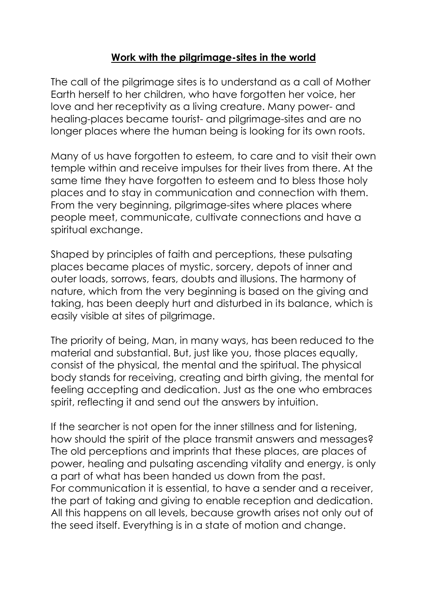## **Work with the pilgrimage-sites in the world**

The call of the pilgrimage sites is to understand as a call of Mother Earth herself to her children, who have forgotten her voice, her love and her receptivity as a living creature. Many power- and healing-places became tourist- and pilgrimage-sites and are no longer places where the human being is looking for its own roots.

Many of us have forgotten to esteem, to care and to visit their own temple within and receive impulses for their lives from there. At the same time they have forgotten to esteem and to bless those holy places and to stay in communication and connection with them. From the very beginning, pilgrimage-sites where places where people meet, communicate, cultivate connections and have a spiritual exchange.

Shaped by principles of faith and perceptions, these pulsating places became places of mystic, sorcery, depots of inner and outer loads, sorrows, fears, doubts and illusions. The harmony of nature, which from the very beginning is based on the giving and taking, has been deeply hurt and disturbed in its balance, which is easily visible at sites of pilgrimage.

The priority of being, Man, in many ways, has been reduced to the material and substantial. But, just like you, those places equally, consist of the physical, the mental and the spiritual. The physical body stands for receiving, creating and birth giving, the mental for feeling accepting and dedication. Just as the one who embraces spirit, reflecting it and send out the answers by intuition.

If the searcher is not open for the inner stillness and for listening, how should the spirit of the place transmit answers and messages? The old perceptions and imprints that these places, are places of power, healing and pulsating ascending vitality and energy, is only a part of what has been handed us down from the past. For communication it is essential, to have a sender and a receiver, the part of taking and giving to enable reception and dedication. All this happens on all levels, because growth arises not only out of the seed itself. Everything is in a state of motion and change.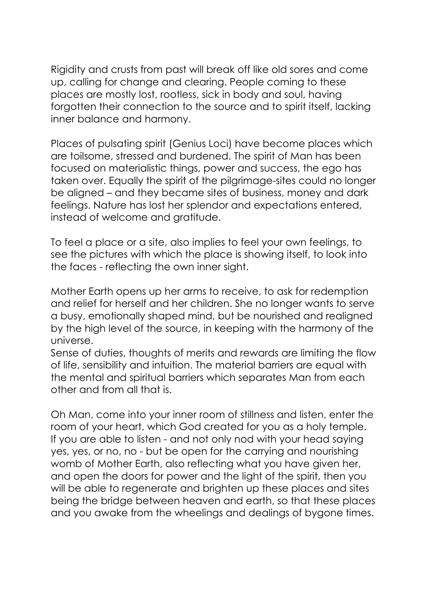Rigidity and crusts from past will break off like old sores and come up, calling for change and clearing. People coming to these places are mostly lost, rootless, sick in body and soul, having forgotten their connection to the source and to spirit itself, lacking inner balance and harmony.

Places of pulsating spirit (Genius Loci) have become places which are toilsome, stressed and burdened. The spirit of Man has been focused on materialistic things, power and success, the ego has taken over. Equally the spirit of the pilgrimage-sites could no longer be aligned – and they became sites of business, money and dark feelings. Nature has lost her splendor and expectations entered, instead of welcome and gratitude.

To feel a place or a site, also implies to feel your own feelings, to see the pictures with which the place is showing itself, to look into the faces - reflecting the own inner sight.

Mother Earth opens up her arms to receive, to ask for redemption and relief for herself and her children. She no longer wants to serve a busy, emotionally shaped mind, but be nourished and realigned by the high level of the source, in keeping with the harmony of the universe.

Sense of duties, thoughts of merits and rewards are limiting the flow of life, sensibility and intuition. The material barriers are equal with the mental and spiritual barriers which separates Man from each other and from all that is.

Oh Man, come into your inner room of stillness and listen, enter the room of your heart, which God created for you as a holy temple. If you are able to listen - and not only nod with your head saying yes, yes, or no, no - but be open for the carrying and nourishing womb of Mother Earth, also reflecting what you have given her, and open the doors for power and the light of the spirit, then you will be able to regenerate and brighten up these places and sites being the bridge between heaven and earth, so that these places and you awake from the wheelings and dealings of bygone times.